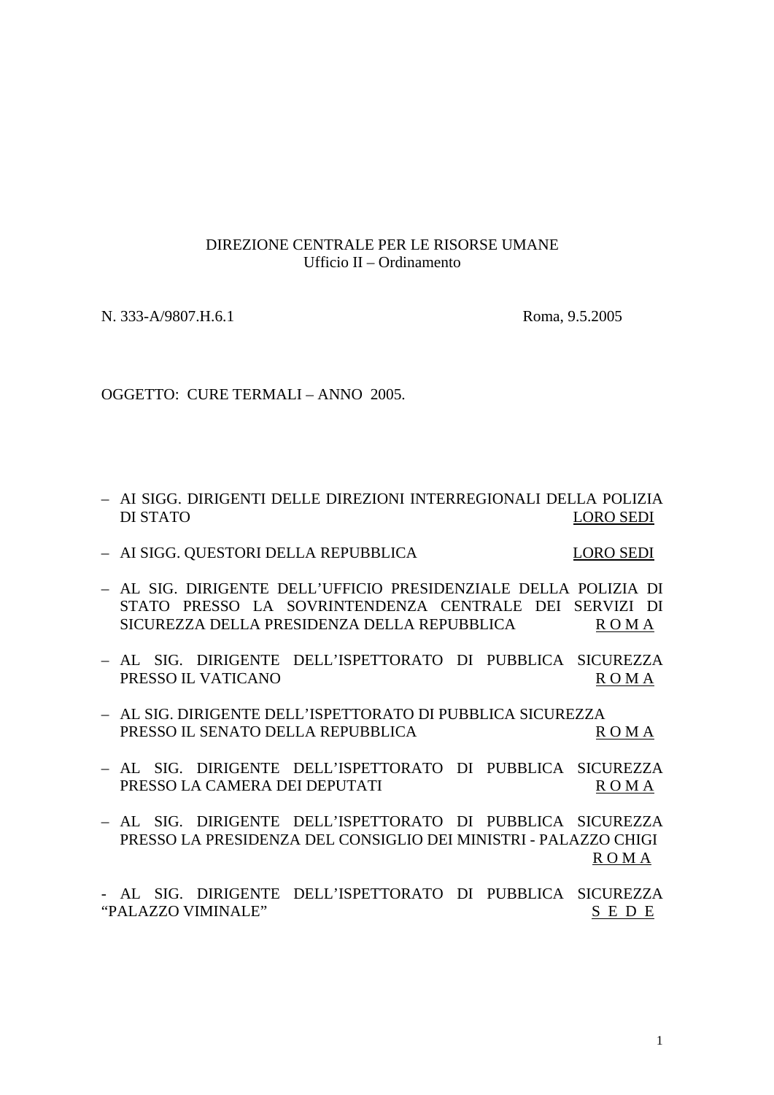## DIREZIONE CENTRALE PER LE RISORSE UMANE Ufficio II – Ordinamento

N. 333-A/9807.H.6.1 Roma, 9.5.2005

OGGETTO: CURE TERMALI – ANNO 2005.

- AI SIGG. DIRIGENTI DELLE DIREZIONI INTERREGIONALI DELLA POLIZIA DI STATO LORO SEDI
- AI SIGG. QUESTORI DELLA REPUBBLICA LORO SEDI
- AL SIG. DIRIGENTE DELL'UFFICIO PRESIDENZIALE DELLA POLIZIA DI STATO PRESSO LA SOVRINTENDENZA CENTRALE DEI SERVIZI DI SICUREZZA DELLA PRESIDENZA DELLA REPUBBLICA ROMA
- AL SIG. DIRIGENTE DELL'ISPETTORATO DI PUBBLICA SICUREZZA PRESSO IL VATICANO ROMA
- AL SIG. DIRIGENTE DELL'ISPETTORATO DI PUBBLICA SICUREZZA PRESSO IL SENATO DELLA REPUBBLICA REPUBBLICA ROMA
- AL SIG. DIRIGENTE DELL'ISPETTORATO DI PUBBLICA SICUREZZA PRESSO LA CAMERA DEI DEPUTATI ROMA
- AL SIG. DIRIGENTE DELL'ISPETTORATO DI PUBBLICA SICUREZZA PRESSO LA PRESIDENZA DEL CONSIGLIO DEI MINISTRI - PALAZZO CHIGI R O M A

- AL SIG. DIRIGENTE DELL'ISPETTORATO DI PUBBLICA SICUREZZA "PALAZZO VIMINALE" SE DE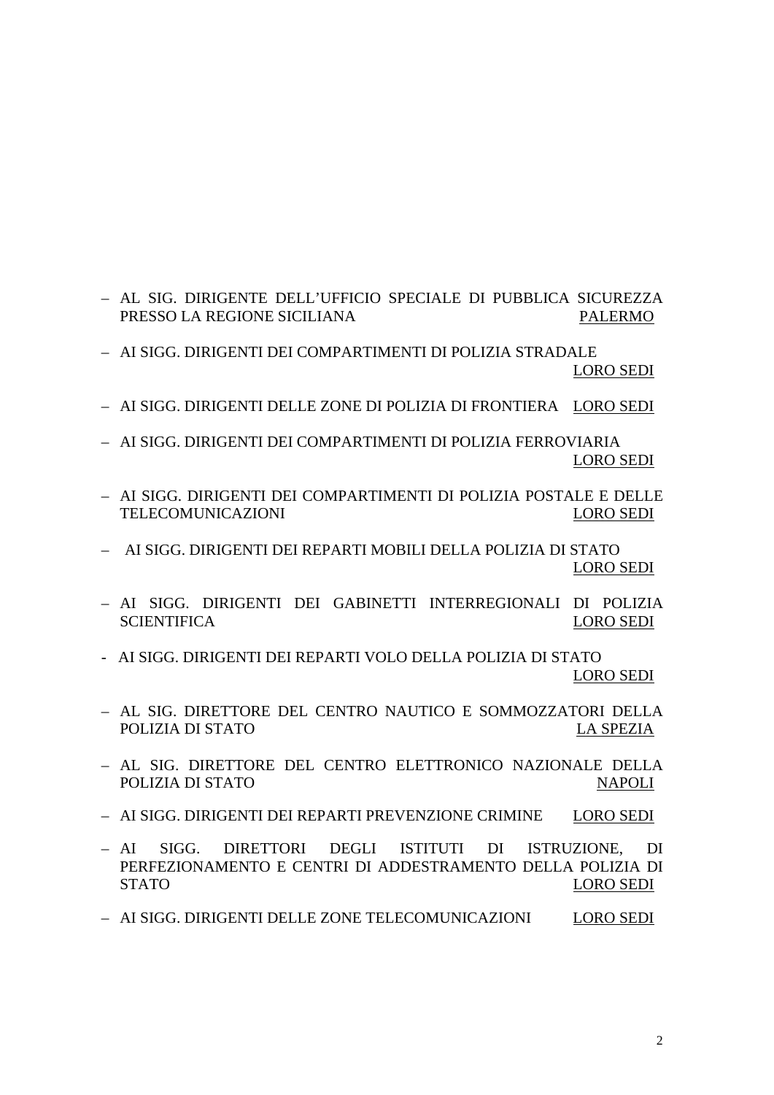- AL SIG. DIRIGENTE DELL'UFFICIO SPECIALE DI PUBBLICA SICUREZZA PRESSO LA REGIONE SICILIANA PALERMO
- AI SIGG. DIRIGENTI DEI COMPARTIMENTI DI POLIZIA STRADALE LORO SEDI
- AI SIGG. DIRIGENTI DELLE ZONE DI POLIZIA DI FRONTIERA LORO SEDI
- AI SIGG. DIRIGENTI DEI COMPARTIMENTI DI POLIZIA FERROVIARIA LORO SEDI
- AI SIGG. DIRIGENTI DEI COMPARTIMENTI DI POLIZIA POSTALE E DELLE TELECOMUNICAZIONI LORO SEDI
- AI SIGG. DIRIGENTI DEI REPARTI MOBILI DELLA POLIZIA DI STATO LORO SEDI
- AI SIGG. DIRIGENTI DEI GABINETTI INTERREGIONALI DI POLIZIA SCIENTIFICA LORO SEDI
- AI SIGG. DIRIGENTI DEI REPARTI VOLO DELLA POLIZIA DI STATO LORO SEDI
- AL SIG. DIRETTORE DEL CENTRO NAUTICO E SOMMOZZATORI DELLA POLIZIA DI STATO NA LA SPEZIA
- AL SIG. DIRETTORE DEL CENTRO ELETTRONICO NAZIONALE DELLA POLIZIA DI STATO NAPOLI
- AI SIGG. DIRIGENTI DEI REPARTI PREVENZIONE CRIMINE LORO SEDI
- AI SIGG. DIRETTORI DEGLI ISTITUTI DI ISTRUZIONE, DI PERFEZIONAMENTO E CENTRI DI ADDESTRAMENTO DELLA POLIZIA DI STATO LORO SEDI
- AI SIGG. DIRIGENTI DELLE ZONE TELECOMUNICAZIONI LORO SEDI